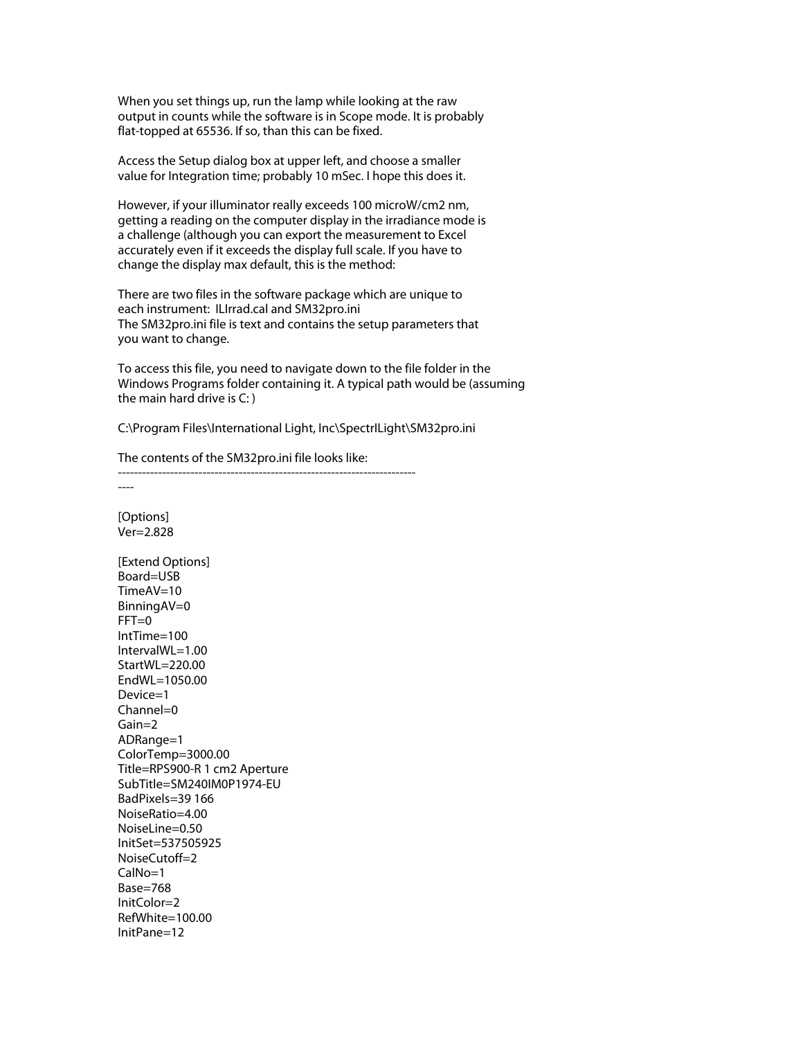When you set things up, run the lamp while looking at the raw output in counts while the software is in Scope mode. It is probably flat-topped at 65536. If so, than this can be fixed.

Access the Setup dialog box at upper left, and choose a smaller value for Integration time; probably 10 mSec. I hope this does it.

However, if your illuminator really exceeds 100 microW/cm2 nm, getting a reading on the computer display in the irradiance mode is a challenge (although you can export the measurement to Excel accurately even if it exceeds the display full scale. If you have to change the display max default, this is the method:

There are two files in the software package which are unique to each instrument: ILIrrad.cal and SM32pro.ini The SM32pro.ini file is text and contains the setup parameters that you want to change.

To access this file, you need to navigate down to the file folder in the Windows Programs folder containing it. A typical path would be (assuming the main hard drive is C: )

C:\Program Files\International Light, Inc\SpectrILight\SM32pro.ini

The contents of the SM32pro.ini file looks like:

--------------------------------------------------------------------------

[Options] Ver=2.828 [Extend Options] Board=USB TimeAV=10 BinningAV=0  $FFT=0$ IntTime=100 IntervalWL=1.00 StartWL=220.00 EndWL=1050.00 Device=1 Channel=0 Gain=2 ADRange=1 ColorTemp=3000.00 Title=RPS900-R 1 cm2 Aperture SubTitle=SM240IM0P1974-EU BadPixels=39 166 NoiseRatio=4.00 NoiseLine=0.50 InitSet=537505925 NoiseCutoff=2 CalNo=1 Base=768 InitColor=2 RefWhite=100.00 InitPane=12

----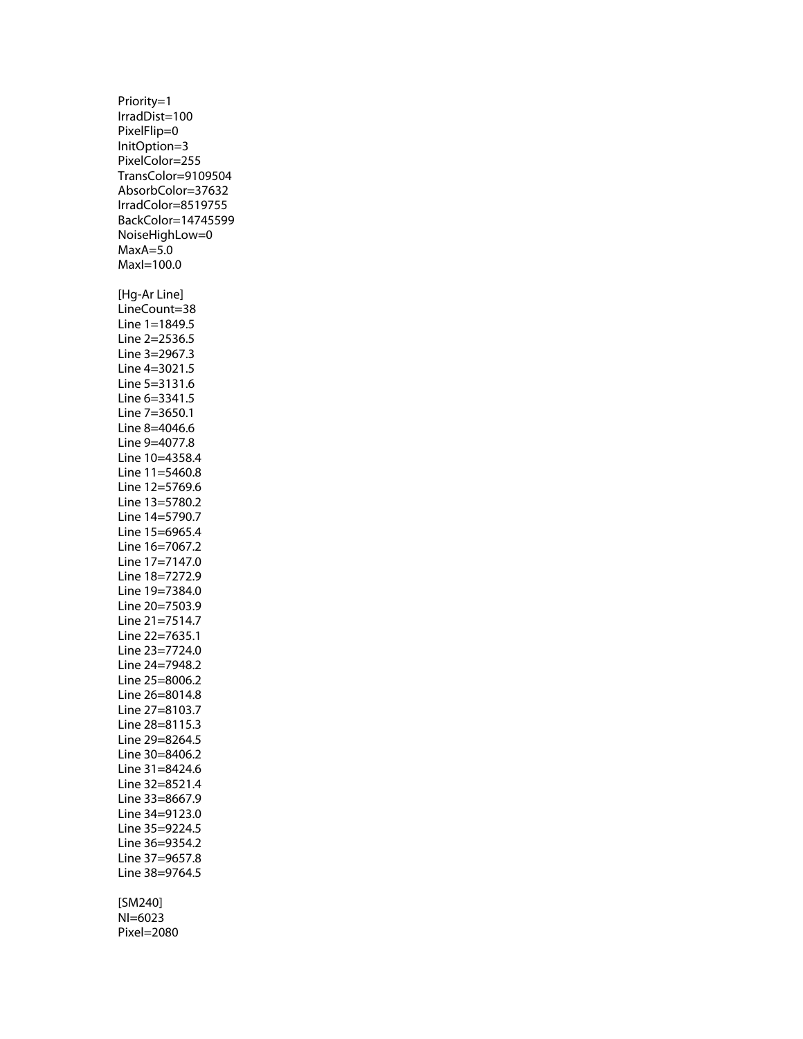Priority=1 IrradDist=100 PixelFlip=0 InitOption=3 PixelColor=255 TransColor=9109504 AbsorbColor=37632 IrradColor=8519755 BackColor=14745599 NoiseHighLow=0  $MaxA=5.0$ MaxI=100.0 [Hg-Ar Line] LineCount=38 Line 1=1849.5 Line 2=2536.5 Line 3=2967.3 Line 4=3021.5 Line 5=3131.6 Line 6=3341.5 Line 7=3650.1 Line 8=4046.6 Line 9=4077.8 Line 10=4358.4 Line 11=5460.8 Line 12=5769.6 Line 13=5780.2 Line 14=5790.7 Line 15=6965.4 Line 16=7067.2 Line 17=7147.0 Line 18=7272.9 Line 19=7384.0 Line 20=7503.9 Line 21=7514.7 Line 22=7635.1 Line 23=7724.0 Line 24=7948.2 Line 25=8006.2 Line 26=8014.8 Line 27=8103.7 Line 28=8115.3 Line 29=8264.5 Line 30=8406.2 Line 31=8424.6 Line 32=8521.4 Line 33=8667.9 Line 34=9123.0 Line 35=9224.5 Line 36=9354.2 Line 37=9657.8 Line 38=9764.5 [SM240] NI=6023

Pixel=2080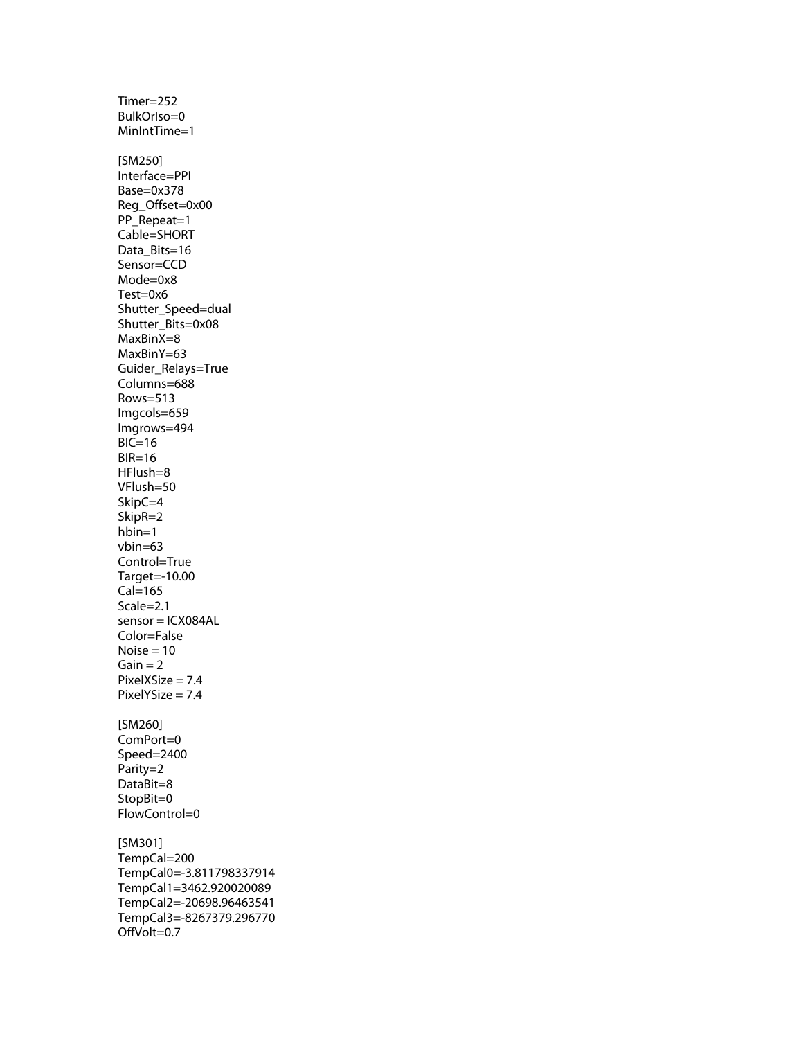Timer=252 BulkOrIso=0 MinIntTime=1 [SM250] Interface=PPI Base=0x378 Reg\_Offset=0x00 PP\_Repeat=1 Cable=SHORT Data\_Bits=16 Sensor=CCD Mode=0x8 Test=0x6 Shutter\_Speed=dual Shutter\_Bits=0x08 MaxBinX=8 MaxBinY=63 Guider\_Relays=True Columns=688 Rows=513 Imgcols=659 Imgrows=494  $BIC=16$  $BIR=16$ HFlush=8 VFlush=50 SkipC=4 SkipR=2 hbin=1 vbin=63 Control=True Target=-10.00 Cal=165 Scale=2.1 sensor = ICX084AL Color=False  $Noise = 10$  $Gain = 2$  $PixelXSize = 7.4$ PixelYSize = 7.4 [SM260] ComPort=0 Speed=2400 Parity=2 DataBit=8 StopBit=0 FlowControl=0 [SM301] TempCal=200 TempCal0=-3.811798337914 TempCal1=3462.920020089 TempCal2=-20698.96463541 TempCal3=-8267379.296770 OffVolt=0.7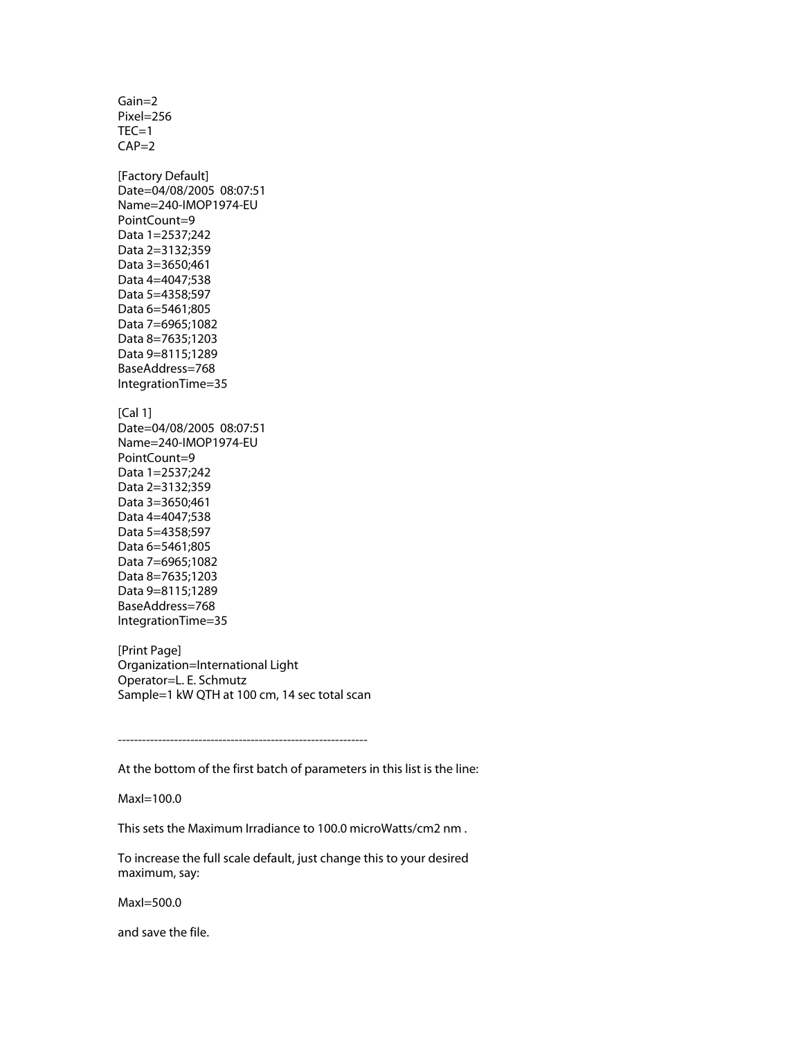Gain=2 Pixel=256  $TEC=1$  $CAP=2$ [Factory Default] Date=04/08/2005 08:07:51 Name=240-IMOP1974-EU PointCount=9 Data 1=2537;242 Data 2=3132;359 Data 3=3650;461 Data 4=4047;538 Data 5=4358;597 Data 6=5461;805 Data 7=6965;1082 Data 8=7635;1203 Data 9=8115;1289 BaseAddress=768 IntegrationTime=35 [Cal 1] Date=04/08/2005 08:07:51 Name=240-IMOP1974-EU PointCount=9 Data 1=2537;242 Data 2=3132;359 Data 3=3650;461 Data 4=4047;538 Data 5=4358;597 Data 6=5461;805 Data 7=6965;1082 Data 8=7635;1203 Data 9=8115;1289 BaseAddress=768 IntegrationTime=35

[Print Page] Organization=International Light Operator=L. E. Schmutz Sample=1 kW QTH at 100 cm, 14 sec total scan

--------------------------------------------------------------

At the bottom of the first batch of parameters in this list is the line:

MaxI=100.0

This sets the Maximum Irradiance to 100.0 microWatts/cm2 nm .

To increase the full scale default, just change this to your desired maximum, say:

MaxI=500.0

and save the file.